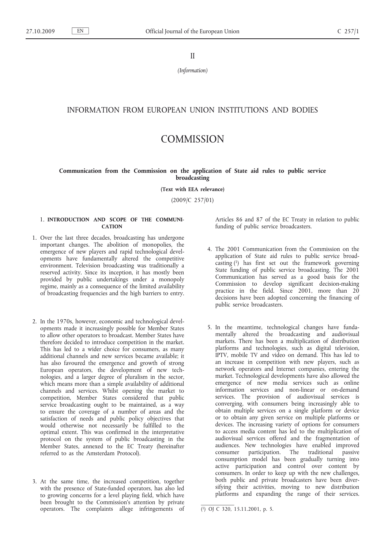II

*(Information)*

# INFORMATION FROM EUROPEAN UNION INSTITUTIONS AND BODIES

# **COMMISSION**

#### **Communication from the Commission on the application of State aid rules to public service broadcasting**

**(Text with EEA relevance)**

(2009/C 257/01)

#### 1. **INTRODUCTION AND SCOPE OF THE COMMUNI-CATION**

- 1. Over the last three decades, broadcasting has undergone important changes. The abolition of monopolies, the emergence of new players and rapid technological developments have fundamentally altered the competitive environment. Television broadcasting was traditionally a reserved activity. Since its inception, it has mostly been provided by public undertakings under a monopoly regime, mainly as a consequence of the limited availability of broadcasting frequencies and the high barriers to entry.
- 2. In the 1970s, however, economic and technological developments made it increasingly possible for Member States to allow other operators to broadcast. Member States have therefore decided to introduce competition in the market. This has led to a wider choice for consumers, as many additional channels and new services became available; it has also favoured the emergence and growth of strong European operators, the development of new technologies, and a larger degree of pluralism in the sector, which means more than a simple availability of additional channels and services. Whilst opening the market to competition, Member States considered that public service broadcasting ought to be maintained, as a way to ensure the coverage of a number of areas and the satisfaction of needs and public policy objectives that would otherwise not necessarily be fulfilled to the optimal extent. This was confirmed in the interpretative protocol on the system of public broadcasting in the Member States, annexed to the EC Treaty (hereinafter referred to as the Amsterdam Protocol).
- 3. At the same time, the increased competition, together with the presence of State-funded operators, has also led to growing concerns for a level playing field, which have been brought to the Commission's attention by private operators. The complaints allege infringements of

Articles 86 and 87 of the EC Treaty in relation to public funding of public service broadcasters.

- 4. The 2001 Communication from the Commission on the application of State aid rules to public service broadcasting (1) has first set out the framework governing State funding of public service broadcasting. The 2001 Communication has served as a good basis for the Commission to develop significant decision-making practice in the field. Since 2001, more than 20 decisions have been adopted concerning the financing of public service broadcasters.
- 5. In the meantime, technological changes have fundamentally altered the broadcasting and audiovisual markets. There has been a multiplication of distribution platforms and technologies, such as digital television, IPTV, mobile TV and video on demand. This has led to an increase in competition with new players, such as network operators and Internet companies, entering the market. Technological developments have also allowed the emergence of new media services such as online information services and non-linear or on-demand services. The provision of audiovisual services is converging, with consumers being increasingly able to obtain multiple services on a single platform or device or to obtain any given service on multiple platforms or devices. The increasing variety of options for consumers to access media content has led to the multiplication of audiovisual services offered and the fragmentation of audiences. New technologies have enabled improved consumer participation. The traditional passive consumption model has been gradually turning into active participation and control over content by consumers. In order to keep up with the new challenges, both public and private broadcasters have been diversifying their activities, moving to new distribution platforms and expanding the range of their services.

<sup>(</sup> 1) OJ C 320, 15.11.2001, p. 5.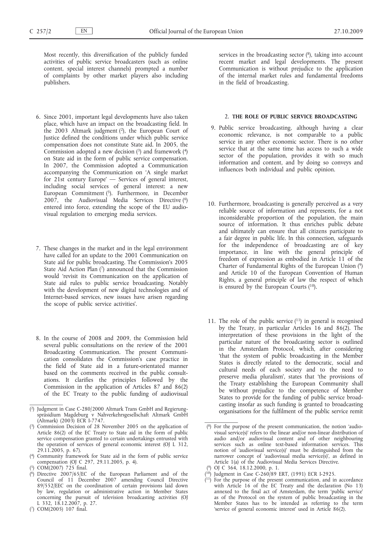Most recently, this diversification of the publicly funded activities of public service broadcasters (such as online content, special interest channels) prompted a number of complaints by other market players also including publishers.

- 6. Since 2001, important legal developments have also taken place, which have an impact on the broadcasting field. In the 2003 Altmark judgment (2), the European Court of Justice defined the conditions under which public service compensation does not constitute State aid. In 2005, the Commission adopted a new decision  $(3)$  and framework  $(4)$ on State aid in the form of public service compensation. In 2007, the Commission adopted a Communication accompanying the Communication on 'A single market for 21st century Europe' — Services of general interest, including social services of general interest: a new European Commitment (5). Furthermore, in December 2007, the Audiovisual Media Services Directive (6) entered into force, extending the scope of the EU audiovisual regulation to emerging media services.
- 7. These changes in the market and in the legal environment have called for an update to the 2001 Communication on State aid for public broadcasting. The Commission's 2005 State Aid Action Plan (7) announced that the Commission would 'revisit its Communication on the application of State aid rules to public service broadcasting. Notably with the development of new digital technologies and of Internet-based services, new issues have arisen regarding the scope of public service activities'.
- 8. In the course of 2008 and 2009, the Commission held several public consultations on the review of the 2001 Broadcasting Communication. The present Communication consolidates the Commission's case practice in the field of State aid in a future-orientated manner based on the comments received in the public consultations. It clarifies the principles followed by the Commission in the application of Articles 87 and 86(2) of the EC Treaty to the public funding of audiovisual

services in the broadcasting sector  $(^{8})$ , taking into account recent market and legal developments. The present Communication is without prejudice to the application of the internal market rules and fundamental freedoms in the field of broadcasting.

#### 2. **THE ROLE OF PUBLIC SERVICE BROADCASTING**

- 9. Public service broadcasting, although having a clear economic relevance, is not comparable to a public service in any other economic sector. There is no other service that at the same time has access to such a wide sector of the population, provides it with so much information and content, and by doing so conveys and influences both individual and public opinion.
- 10. Furthermore, broadcasting is generally perceived as a very reliable source of information and represents, for a not inconsiderable proportion of the population, the main source of information. It thus enriches public debate and ultimately can ensure that all citizens participate to a fair degree in public life. In this connection, safeguards for the independence of broadcasting are of key importance, in line with the general principle of freedom of expression as embodied in Article 11 of the Charter of Fundamental Rights of the European Union (9) and Article 10 of the European Convention of Human Rights, a general principle of law the respect of which is ensured by the European Courts (10).
- 11. The role of the public service  $(11)$  in general is recognised by the Treaty, in particular Articles 16 and 86(2). The interpretation of these provisions in the light of the particular nature of the broadcasting sector is outlined in the Amsterdam Protocol, which, after considering 'that the system of public broadcasting in the Member States is directly related to the democratic, social and cultural needs of each society and to the need to preserve media pluralism', states that 'the provisions of the Treaty establishing the European Community shall be without prejudice to the competence of Member States to provide for the funding of public service broadcasting insofar as such funding is granted to broadcasting organisations for the fulfilment of the public service remit

<sup>(</sup> 2) Judgment in Case C-280/2000 Altmark Trans GmbH and Regierungspräsidium Magdeburg v Nahverkehrsgesellschaft Altmark GmbH (Altmark) (2003) ECR I-7747.

<sup>(</sup> 3) Commission Decision of 28 November 2005 on the application of Article 86(2) of the EC Treaty to State aid in the form of public service compensation granted to certain undertakings entrusted with the operation of services of general economic interest (OJ L 312, 29.11.2005, p. 67).

<sup>(</sup> 4) Community framework for State aid in the form of public service compensation (OJ C 297, 29.11.2005, p. 4).

<sup>(</sup>  $COM(2007)$  725 final.

<sup>(</sup> 6) Directive 2007/65/EC of the European Parliament and of the Council of 11 December 2007 amending Council Directive 89/552/EEC on the coordination of certain provisions laid down by law, regulation or administrative action in Member States concerning the pursuit of television broadcasting activities (OJ L 332, 18.12.2007, p. 27.

<sup>(</sup> 7) COM(2005) 107 final.

<sup>(</sup> 8) For the purpose of the present communication, the notion 'audiovisual service(s)' refers to the linear and/or non-linear distribution of audio and/or audiovisual content and of other neighbouring services such as online text-based information services. This notion of 'audiovisual service(s)' must be distinguished from the narrower concept of 'audiovisual media service(s)', as defined in Article 1(a) of the Audiovisual Media Services Directive.

<sup>(</sup> 9) OJ C 364, 18.12.2000, p. 1.

<sup>(</sup> 10) Judgment in Case C-260/89 ERT, (1991) ECR I-2925.

<sup>(</sup> 11) For the purpose of the present communication, and in accordance with Article 16 of the EC Treaty and the declaration (No 13) annexed to the final act of Amsterdam, the term 'public service' as of the Protocol on the system of public broadcasting in the Member States has to be intended as referring to the term 'service of general economic interest' used in Article 86(2).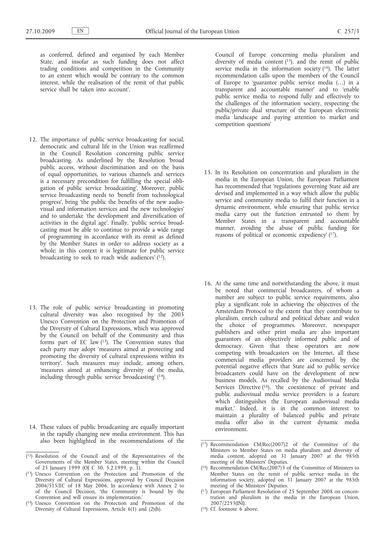as conferred, defined and organised by each Member State, and insofar as such funding does not affect trading conditions and competition in the Community to an extent which would be contrary to the common interest, while the realisation of the remit of that public service shall be taken into account'.

- 12. The importance of public service broadcasting for social, democratic and cultural life in the Union was reaffirmed in the Council Resolution concerning public service broadcasting. As underlined by the Resolution 'broad public access, without discrimination and on the basis of equal opportunities, to various channels and services is a necessary precondition for fulfilling the special obligation of public service broadcasting'. Moreover, public service broadcasting needs to 'benefit from technological progress', bring 'the public the benefits of the new audiovisual and information services and the new technologies' and to undertake 'the development and diversification of activities in the digital age'. Finally, 'public service broadcasting must be able to continue to provide a wide range of programming in accordance with its remit as defined by the Member States in order to address society as a whole; in this context it is legitimate for public service broadcasting to seek to reach wide audiences'  $(12)$ .
- 13. The role of public service broadcasting in promoting cultural diversity was also recognised by the 2005 Unesco Convention on the Protection and Promotion of the Diversity of Cultural Expressions, which was approved by the Council on behalf of the Community and thus forms part of EC law  $(13)$ . The Convention states that each party may adopt 'measures aimed at protecting and promoting the diversity of cultural expressions within its territory'. Such measures may include, among others, 'measures aimed at enhancing diversity of the media, including through public service broadcasting' (14).
- 14. These values of public broadcasting are equally important in the rapidly changing new media environment. This has also been highlighted in the recommendations of the
- ( 12) Resolution of the Council and of the Representatives of the Governments of the Member States, meeting within the Council of 25 January 1999 (OJ C 30, 5.2.1999, p. 1).
- ( 13) Unesco Convention on the Protection and Promotion of the Diversity of Cultural Expressions, approved by Council Decision 2006/515/EC of 18 May 2006. In accordance with Annex 2 to of the Council Decision, 'the Community is bound by the Convention and will ensure its implementation.'
- ( 14) Unesco Convention on the Protection and Promotion of the Diversity of Cultural Expressions, Article 6(1) and (2)(h).

Council of Europe concerning media pluralism and diversity of media content  $(15)$ , and the remit of public service media in the information society (16). The latter recommendation calls upon the members of the Council of Europe to 'guarantee public service media (…) in a transparent and accountable manner' and to 'enable public service media to respond fully and effectively to the challenges of the information society, respecting the public/private dual structure of the European electronic media landscape and paying attention to market and competition questions'

- 15. In its Resolution on concentration and pluralism in the media in the European Union, the European Parliament has recommended that 'regulations governing State aid are devised and implemented in a way which allow the public service and community media to fulfil their function in a dynamic environment, while ensuring that public service media carry out the function entrusted to them by Member States in a transparent and accountable manner, avoiding the abuse of public funding for reasons of political or economic expediency' (17).
- 16. At the same time and notwithstanding the above, it must be noted that commercial broadcasters, of whom a number are subject to public service requirements, also play a significant role in achieving the objectives of the Amsterdam Protocol to the extent that they contribute to pluralism, enrich cultural and political debate and widen the choice of programmes. Moreover, newspaper publishers and other print media are also important guarantors of an objectively informed public and of democracy. Given that these operators are now competing with broadcasters on the Internet, all these commercial media providers are concerned by the potential negative effects that State aid to public service broadcasters could have on the development of new business models. As recalled by the Audiovisual Media Services Directive (18), 'the coexistence of private and public audiovisual media service providers is a feature which distinguishes the European audiovisual media market.' Indeed, it is in the common interest to maintain a plurality of balanced public and private media offer also in the current dynamic media environment.

( 18) Cf. footnote 6 above.

<sup>(</sup> 15) Recommendation CM/Rec(2007)2 of the Committee of the Ministers to Member States on media pluralism and diversity of media content, adopted on 31 January 2007 at the 985th meeting of the Ministers' Deputies.

<sup>(</sup> 16) Recommendation CM/Rec(2007)3 of the Committee of Ministers to Member States on the remit of public service media in the information society, adopted on 31 January 2007 at the 985th meeting of the Ministers' Deputies.

<sup>(</sup> 17) European Parliament Resolution of 25 September 2008 on concentration and pluralism in the media in the European Union, 2007/2253(INI).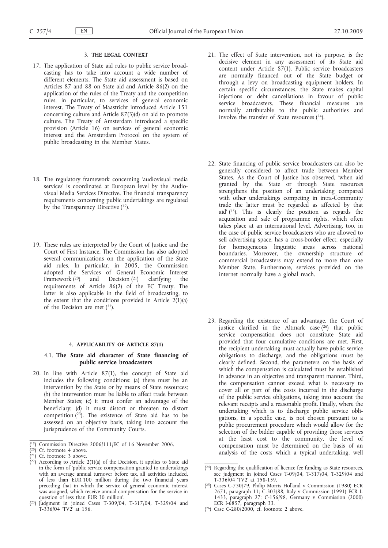#### 3. **THE LEGAL CONTEXT**

- 17. The application of State aid rules to public service broadcasting has to take into account a wide number of different elements. The State aid assessment is based on Articles 87 and 88 on State aid and Article 86(2) on the application of the rules of the Treaty and the competition rules, in particular, to services of general economic interest. The Treaty of Maastricht introduced Article 151 concerning culture and Article 87(3)(d) on aid to promote culture. The Treaty of Amsterdam introduced a specific provision (Article 16) on services of general economic interest and the Amsterdam Protocol on the system of public broadcasting in the Member States.
- 18. The regulatory framework concerning 'audiovisual media services' is coordinated at European level by the Audiovisual Media Services Directive. The financial transparency requirements concerning public undertakings are regulated by the Transparency Directive  $(19)$ .
- 19. These rules are interpreted by the Court of Justice and the Court of First Instance. The Commission has also adopted several communications on the application of the State aid rules. In particular, in 2005, the Commission adopted the Services of General Economic Interest Framework  $(20)$  and Decision  $(21)$  clarifying the requirements of Article 86(2) of the EC Treaty. The latter is also applicable in the field of broadcasting, to the extent that the conditions provided in Article  $2(1)(a)$ of the Decision are met  $(22)$ .

#### 4. **APPLICABILITY OF ARTICLE 87(1)**

#### 4.1. **The State aid character of State financing of public service broadcasters**

- 20. In line with Article 87(1), the concept of State aid includes the following conditions: (a) there must be an intervention by the State or by means of State resources; (b) the intervention must be liable to affect trade between Member States; (c) it must confer an advantage of the beneficiary; (d) it must distort or threaten to distort competition  $(2^3)$ . The existence of State aid has to be assessed on an objective basis, taking into account the jurisprudence of the Community Courts.
- ( 19) Commission Directive 2006/111/EC of 16 November 2006.

 $(23)$ Judgment in joined Cases T-309/04, T-317/04, T-329/04 and  $T-336/04$  TV2' at 156.

- 21. The effect of State intervention, not its purpose, is the decisive element in any assessment of its State aid content under Article 87(1). Public service broadcasters are normally financed out of the State budget or through a levy on broadcasting equipment holders. In certain specific circumstances, the State makes capital injections or debt cancellations in favour of public service broadcasters. These financial measures are normally attributable to the public authorities and involve the transfer of State resources  $(24)$ .
- 22. State financing of public service broadcasters can also be generally considered to affect trade between Member States. As the Court of Justice has observed, 'when aid granted by the State or through State resources strengthens the position of an undertaking compared with other undertakings competing in intra-Community trade the latter must be regarded as affected by that aid' (25). This is clearly the position as regards the acquisition and sale of programme rights, which often takes place at an international level. Advertising, too, in the case of public service broadcasters who are allowed to sell advertising space, has a cross-border effect, especially for homogeneous linguistic areas across national boundaries. Moreover, the ownership structure of commercial broadcasters may extend to more than one Member State. Furthermore, services provided on the internet normally have a global reach.
- 23. Regarding the existence of an advantage, the Court of justice clarified in the Altmark case  $(26)$  that public service compensation does not constitute State aid provided that four cumulative conditions are met. First, the recipient undertaking must actually have public service obligations to discharge, and the obligations must be clearly defined. Second, the parameters on the basis of which the compensation is calculated must be established in advance in an objective and transparent manner. Third, the compensation cannot exceed what is necessary to cover all or part of the costs incurred in the discharge of the public service obligations, taking into account the relevant receipts and a reasonable profit. Finally, where the undertaking which is to discharge public service obligations, in a specific case, is not chosen pursuant to a public procurement procedure which would allow for the selection of the bidder capable of providing those services at the least cost to the community, the level of compensation must be determined on the basis of an analysis of the costs which a typical undertaking, well

( 26) Case C-280/2000, cf. footnote 2 above.

<sup>(</sup> 20) Cf. footnote 4 above.

<sup>(</sup> 21) Cf. footnote 3 above.

<sup>(</sup> 22) According to Article 2(1)(a) of the Decision, it applies to State aid in the form of 'public service compensation granted to undertakings with an average annual turnover before tax, all activities included, of less than EUR 100 million during the two financial years preceding that in which the service of general economic interest was assigned, which receive annual compensation for the service in question of less than EUR 30 million'.

<sup>(</sup> 24) Regarding the qualification of licence fee funding as State resources, see judgment in joined Cases T-09/04, T-317/04, T-329/04 and T-336/04 'TV2' at 158-159.

<sup>(</sup> 25) Cases C-730/79, Philip Morris Holland v Commission (1980) ECR 2671, paragraph 11; C-303/88, Italy v Commission (1991) ECR I-1433, paragraph 27; C-156/98, Germany v Commission (2000) ECR I-6857, paragraph 33.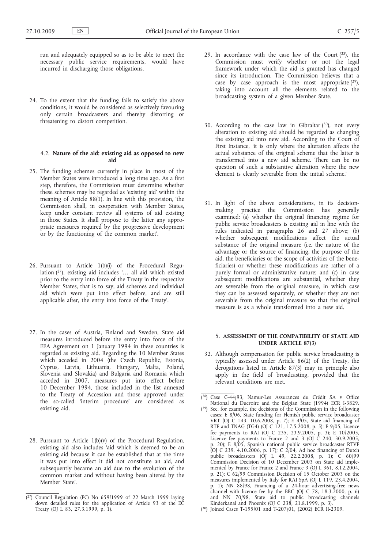run and adequately equipped so as to be able to meet the necessary public service requirements, would have incurred in discharging those obligations.

24. To the extent that the funding fails to satisfy the above conditions, it would be considered as selectively favouring only certain broadcasters and thereby distorting or threatening to distort competition.

#### 4.2. **Nature of the aid: existing aid as opposed to new aid**

- 25. The funding schemes currently in place in most of the Member States were introduced a long time ago. As a first step, therefore, the Commission must determine whether these schemes may be regarded as 'existing aid' within the meaning of Article 88(1). In line with this provision, 'the Commission shall, in cooperation with Member States, keep under constant review all systems of aid existing in those States. It shall propose to the latter any appropriate measures required by the progressive development or by the functioning of the common market'.
- 26. Pursuant to Article 1(b)(i) of the Procedural Regulation (27), existing aid includes '… all aid which existed prior to the entry into force of the Treaty in the respective Member States, that is to say, aid schemes and individual aid which were put into effect before, and are still applicable after, the entry into force of the Treaty'.
- 27. In the cases of Austria, Finland and Sweden, State aid measures introduced before the entry into force of the EEA Agreement on 1 January 1994 in these countries is regarded as existing aid. Regarding the 10 Member States which acceded in 2004 (the Czech Republic, Estonia, Cyprus, Latvia, Lithuania, Hungary, Malta, Poland, Slovenia and Slovakia) and Bulgaria and Romania which acceded in 2007, measures put into effect before 10 December 1994, those included in the list annexed to the Treaty of Accession and those approved under the so-called 'interim procedure' are considered as existing aid.
- 28. Pursuant to Article 1(b)(v) of the Procedural Regulation, existing aid also includes 'aid which is deemed to be an existing aid because it can be established that at the time it was put into effect it did not constitute an aid, and subsequently became an aid due to the evolution of the common market and without having been altered by the Member State'.
- 29. In accordance with the case law of the Court  $(28)$ , the Commission must verify whether or not the legal framework under which the aid is granted has changed since its introduction. The Commission believes that a case by case approach is the most appropriate  $(29)$ , taking into account all the elements related to the broadcasting system of a given Member State.
- 30. According to the case law in Gibraltar  $(30)$ , not every alteration to existing aid should be regarded as changing the existing aid into new aid. According to the Court of First Instance, 'it is only where the alteration affects the actual substance of the original scheme that the latter is transformed into a new aid scheme. There can be no question of such a substantive alteration where the new element is clearly severable from the initial scheme.'
- 31. In light of the above considerations, in its decisionmaking practice the Commission has generally examined: (a) whether the original financing regime for public service broadcasters is existing aid in line with the rules indicated in paragraphs 26 and 27 above; (b) whether subsequent modifications affect the actual substance of the original measure (i.e. the nature of the advantage or the source of financing, the purpose of the aid, the beneficiaries or the scope of activities of the beneficiaries) or whether these modifications are rather of a purely formal or administrative nature; and (c) in case subsequent modifications are substantial, whether they are severable from the original measure, in which case they can be assessed separately, or whether they are not severable from the original measure so that the original measure is as a whole transformed into a new aid.

#### 5. **ASSESSMENT OF THE COMPATIBILITY OF STATE AID UNDER ARTICLE 87(3)**

32. Although compensation for public service broadcasting is typically assessed under Article 86(2) of the Treaty, the derogations listed in Article 87(3) may in principle also apply in the field of broadcasting, provided that the relevant conditions are met.

( 30) Joined Cases T-195/01 and T-207/01, (2002) ECR II-2309.

<sup>(</sup> 27) Council Regulation (EC) No 659/1999 of 22 March 1999 laying down detailed rules for the application of Article 93 of the EC Treaty (OJ L 83, 27.3.1999, p. 1).

<sup>(</sup> 28) Case C-44/93, Namur-Les Assurances du Crédit SA v Office National du Ducroire and the Belgian State (1994) ECR I-3829.

<sup>(</sup> 29) See, for example, the decisions of the Commission in the following cases: E 8/06, State funding for Flemish public service broadcaster VRT (OJ C 143, 10.6.2008, p. 7); E 4/05, State aid financing of RTE and TNAG (TG4) (OJ C 121, 17.5.2008, p. 5); E 9/05, Licence fee payments to RAI (OJ C 235, 23.9.2005, p. 3); E 10/2005, Licence fee payments to France 2 and 3 (OJ C 240, 30.9.2005, p. 20); E 8/05, Spanish national public service broadcaster RTVE (OJ C 239, 4.10.2006, p. 17); C 2/04, Ad hoc financing of Dutch public broadcasters (OJ L 49, 22.2.2008, p. 1); C 60/99 Commission Decision of 10 December 2003 on State aid implemented by France for France 2 and France 3 (OJ L 361, 8.12.2004, p. 21); C 62/99 Commission Decision of 15 October 2003 on the measures implemented by Italy for RAI SpA (OJ L 119, 23.4.2004, p. 1); NN 88/98, Financing of a 24-hour advertising-free news channel with licence fee by the BBC (OJ C 78, 18.3.2000, p. 6) and NN 70/98, State aid to public broadcasting channels Kinderkanal and Phoenix (OJ C 238, 21.8.1999, p. 3).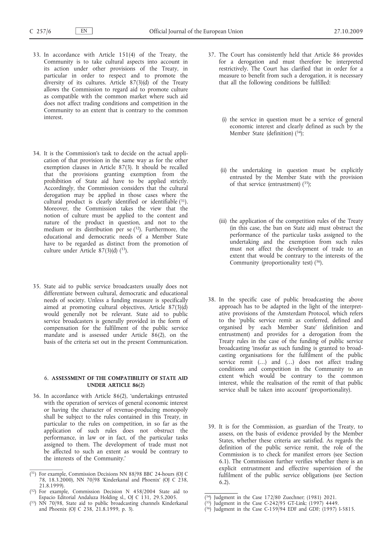- 33. In accordance with Article 151(4) of the Treaty, the Community is to take cultural aspects into account in its action under other provisions of the Treaty, in particular in order to respect and to promote the diversity of its cultures. Article  $87(3)(d)$  of the Treaty allows the Commission to regard aid to promote culture as compatible with the common market where such aid does not affect trading conditions and competition in the Community to an extent that is contrary to the common interest.
- 34. It is the Commission's task to decide on the actual application of that provision in the same way as for the other exemption clauses in Article 87(3). It should be recalled that the provisions granting exemption from the prohibition of State aid have to be applied strictly. Accordingly, the Commission considers that the cultural derogation may be applied in those cases where the cultural product is clearly identified or identifiable (31). Moreover, the Commission takes the view that the notion of culture must be applied to the content and nature of the product in question, and not to the medium or its distribution per se  $(32)$ . Furthermore, the educational and democratic needs of a Member State have to be regarded as distinct from the promotion of culture under Article  $87(3)(d)$   $(^{33})$ .
- 35. State aid to public service broadcasters usually does not differentiate between cultural, democratic and educational needs of society. Unless a funding measure is specifically aimed at promoting cultural objectives, Article 87(3)(d) would generally not be relevant. State aid to public service broadcasters is generally provided in the form of compensation for the fulfilment of the public service mandate and is assessed under Article  $86(2)$ , on the basis of the criteria set out in the present Communication.

#### 6. **ASSESSMENT OF THE COMPATIBILITY OF STATE AID UNDER ARTICLE 86(2)**

36. In accordance with Article 86(2), 'undertakings entrusted with the operation of services of general economic interest or having the character of revenue-producing monopoly shall be subject to the rules contained in this Treaty, in particular to the rules on competition, in so far as the application of such rules does not obstruct the performance, in law or in fact, of the particular tasks assigned to them. The development of trade must not be affected to such an extent as would be contrary to the interests of the Community.'

- 37. The Court has consistently held that Article 86 provides for a derogation and must therefore be interpreted restrictively. The Court has clarified that in order for a measure to benefit from such a derogation, it is necessary that all the following conditions be fulfilled:
	- (i) the service in question must be a service of general economic interest and clearly defined as such by the Member State (definition) (34);
	- (ii) the undertaking in question must be explicitly entrusted by the Member State with the provision of that service (entrustment)  $(35)$ ;
	- (iii) the application of the competition rules of the Treaty (in this case, the ban on State aid) must obstruct the performance of the particular tasks assigned to the undertaking and the exemption from such rules must not affect the development of trade to an extent that would be contrary to the interests of the Community (proportionality test) (36).
- 38. In the specific case of public broadcasting the above approach has to be adapted in the light of the interpretative provisions of the Amsterdam Protocol, which refers to the 'public service remit as conferred, defined and organised by each Member State' (definition and entrustment) and provides for a derogation from the Treaty rules in the case of the funding of public service broadcasting 'insofar as such funding is granted to broadcasting organisations for the fulfilment of the public service remit (…) and (…) does not affect trading conditions and competition in the Community to an extent which would be contrary to the common interest, while the realisation of the remit of that public service shall be taken into account' (proportionality).
- 39. It is for the Commission, as guardian of the Treaty, to assess, on the basis of evidence provided by the Member States, whether these criteria are satisfied. As regards the definition of the public service remit, the role of the Commission is to check for manifest errors (see Section 6.1). The Commission further verifies whether there is an explicit entrustment and effective supervision of the fulfilment of the public service obligations (see Section 6.2).

<sup>(</sup> 31) For example, Commission Decisions NN 88/98 BBC 24-hours (OJ C 78, 18.3.2000), NN 70/98 'Kinderkanal and Phoenix' (OJ C 238, 21.8.1999).

<sup>(</sup> 32) For example, Commission Decision N 458/2004 State aid to Espacio Editorial Andaluza Holding sl., OJ C 131, 29.5.2005.

<sup>(</sup> 33) NN 70/98, State aid to public broadcasting channels Kinderkanal and Phoenix (OJ C 238, 21.8.1999, p. 3).

<sup>(</sup> 34) Judgment in the Case 172/80 Zuechner; (1981) 2021.

<sup>(</sup> 35) Judgment in the Case C-242/95 GT-Link; (1997) 4449.

<sup>(</sup> 36) Judgment in the Case C-159/94 EDF and GDF; (1997) I-5815.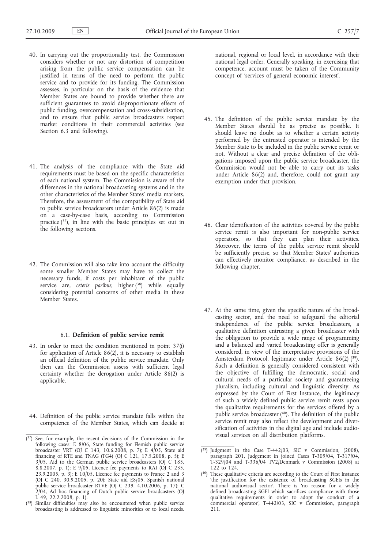- 40. In carrying out the proportionality test, the Commission considers whether or not any distortion of competition arising from the public service compensation can be justified in terms of the need to perform the public service and to provide for its funding. The Commission assesses, in particular on the basis of the evidence that Member States are bound to provide whether there are sufficient guarantees to avoid disproportionate effects of public funding, overcompensation and cross-subsidisation, and to ensure that public service broadcasters respect market conditions in their commercial activities (see Section 6.3 and following).
- 41. The analysis of the compliance with the State aid requirements must be based on the specific characteristics of each national system. The Commission is aware of the differences in the national broadcasting systems and in the other characteristics of the Member States' media markets. Therefore, the assessment of the compatibility of State aid to public service broadcasters under Article 86(2) is made on a case-by-case basis, according to Commission practice (37), in line with the basic principles set out in the following sections.
- 42. The Commission will also take into account the difficulty some smaller Member States may have to collect the necessary funds, if costs per inhabitant of the public service are, *ceteris paribus*, higher (38) while equally considering potential concerns of other media in these Member States.

#### 6.1. **Definition of public service remit**

- 43. In order to meet the condition mentioned in point 37(i) for application of Article 86(2), it is necessary to establish an official definition of the public service mandate. Only then can the Commission assess with sufficient legal certainty whether the derogation under Article 86(2) is applicable.
- 44. Definition of the public service mandate falls within the competence of the Member States, which can decide at

national, regional or local level, in accordance with their national legal order. Generally speaking, in exercising that competence, account must be taken of the Community concept of 'services of general economic interest'.

- 45. The definition of the public service mandate by the Member States should be as precise as possible. It should leave no doubt as to whether a certain activity performed by the entrusted operator is intended by the Member State to be included in the public service remit or not. Without a clear and precise definition of the obligations imposed upon the public service broadcaster, the Commission would not be able to carry out its tasks under Article 86(2) and, therefore, could not grant any exemption under that provision.
- 46. Clear identification of the activities covered by the public service remit is also important for non-public service operators, so that they can plan their activities. Moreover, the terms of the public service remit should be sufficiently precise, so that Member States' authorities can effectively monitor compliance, as described in the following chapter.
- 47. At the same time, given the specific nature of the broadcasting sector, and the need to safeguard the editorial independence of the public service broadcasters, a qualitative definition entrusting a given broadcaster with the obligation to provide a wide range of programming and a balanced and varied broadcasting offer is generally considered, in view of the interpretative provisions of the Amsterdam Protocol, legitimate under Article 86(2) (39). Such a definition is generally considered consistent with the objective of fulfilling the democratic, social and cultural needs of a particular society and guaranteeing pluralism, including cultural and linguistic diversity. As expressed by the Court of First Instance, the legitimacy of such a widely defined public service remit rests upon the qualitative requirements for the services offered by a public service broadcaster (40). The definition of the public service remit may also reflect the development and diversification of activities in the digital age and include audiovisual services on all distribution platforms.

 $(37)$  See, for example, the recent decisions of the Commission in the following cases: E 8/06, State funding for Flemish public service broadcaster VRT (OJ C 143, 10.6.2008, p. 7); E 4/05, State aid financing of RTE and TNAG (TG4) (OJ C  $121$ , 17.5.2008, p. 5); E  $3/05$ , Aid to the German public service broadcasters (OJ C 185, 8.8.2007, p. 1); E 9/05, Licence fee payments to RAI (OJ C 235, 23.9.2005, p. 3); E  $10/05$ , Licence fee payments to France 2 and 3 (OJ C 240, 30.9.2005, p. 20); State aid E8/05, Spanish national public service broadcaster RTVE (OJ C 239, 4.10.2006, p. 17); C 2/04, Ad hoc financing of Dutch public service broadcasters (OJ L 49, 22.2.2008, p. 1).

<sup>(38)</sup> Similar difficulties may also be encountered when public service broadcasting is addressed to linguistic minorities or to local needs.

 $(39)$  Judgment in the Case T-442/03, SIC v Commission, (2008), paragraph 201, Judgement in joined Cases T-309/04, T-317/04, T-329/04 and T-336/04 TV2/Denmark v Commission (2008) at 122 to 124

<sup>(</sup> 40) These qualitative criteria are according to the Court of First Instance 'the justification for the existence of broadcasting SGEIs in the national audiovisual sector'. There is 'no reason for a widely defined broadcasting SGEI which sacrifices compliance with those qualitative requirements in order to adopt the conduct of a commercial operator', T-442/03, SIC v Commission, paragraph 211.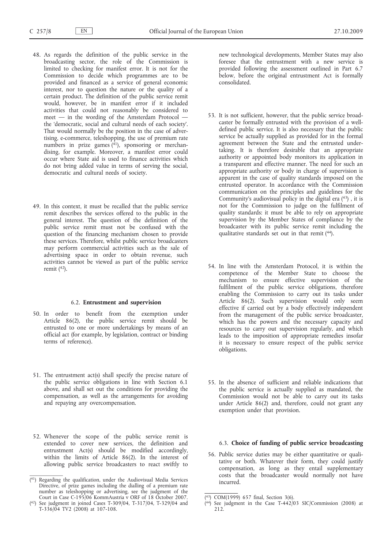- 48. As regards the definition of the public service in the broadcasting sector, the role of the Commission is limited to checking for manifest error. It is not for the Commission to decide which programmes are to be provided and financed as a service of general economic interest, nor to question the nature or the quality of a certain product. The definition of the public service remit would, however, be in manifest error if it included activities that could not reasonably be considered to meet — in the wording of the Amsterdam Protocol the 'democratic, social and cultural needs of each society'. That would normally be the position in the case of advertising, e-commerce, teleshopping, the use of premium rate numbers in prize games  $(41)$ , sponsoring or merchandising, for example. Moreover, a manifest error could occur where State aid is used to finance activities which do not bring added value in terms of serving the social, democratic and cultural needs of society.
- 49. In this context, it must be recalled that the public service remit describes the services offered to the public in the general interest. The question of the definition of the public service remit must not be confused with the question of the financing mechanism chosen to provide these services. Therefore, whilst public service broadcasters may perform commercial activities such as the sale of advertising space in order to obtain revenue, such activities cannot be viewed as part of the public service remit  $(42)$ .

#### 6.2. **Entrustment and supervision**

- 50. In order to benefit from the exemption under Article 86(2), the public service remit should be entrusted to one or more undertakings by means of an official act (for example, by legislation, contract or binding terms of reference).
- 51. The entrustment act(s) shall specify the precise nature of the public service obligations in line with Section 6.1 above, and shall set out the conditions for providing the compensation, as well as the arrangements for avoiding and repaying any overcompensation.
- 52. Whenever the scope of the public service remit is extended to cover new services, the definition and entrustment Act(s) should be modified accordingly, within the limits of Article 86(2). In the interest of allowing public service broadcasters to react swiftly to

new technological developments, Member States may also foresee that the entrustment with a new service is provided following the assessment outlined in Part 6.7 below, before the original entrustment Act is formally consolidated.

- 53. It is not sufficient, however, that the public service broadcaster be formally entrusted with the provision of a welldefined public service. It is also necessary that the public service be actually supplied as provided for in the formal agreement between the State and the entrusted undertaking. It is therefore desirable that an appropriate authority or appointed body monitors its application in a transparent and effective manner. The need for such an appropriate authority or body in charge of supervision is apparent in the case of quality standards imposed on the entrusted operator. In accordance with the Commission communication on the principles and guidelines for the Community's audiovisual policy in the digital era  $(43)$ , it is not for the Commission to judge on the fulfilment of quality standards: it must be able to rely on appropriate supervision by the Member States of compliance by the broadcaster with its public service remit including the qualitative standards set out in that remit (44).
- 54. In line with the Amsterdam Protocol, it is within the competence of the Member State to choose the mechanism to ensure effective supervision of the fulfilment of the public service obligations, therefore enabling the Commission to carry out its tasks under Article 86(2). Such supervision would only seem effective if carried out by a body effectively independent from the management of the public service broadcaster, which has the powers and the necessary capacity and resources to carry out supervision regularly, and which leads to the imposition of appropriate remedies insofar it is necessary to ensure respect of the public service obligations.
- 55. In the absence of sufficient and reliable indications that the public service is actually supplied as mandated, the Commission would not be able to carry out its tasks under Article 86(2) and, therefore, could not grant any exemption under that provision.

#### 6.3. **Choice of funding of public service broadcasting**

56. Public service duties may be either quantitative or qualitative or both. Whatever their form, they could justify compensation, as long as they entail supplementary costs that the broadcaster would normally not have incurred.

<sup>(</sup> 41) Regarding the qualification, under the Audiovisual Media Services Directive, of prize games including the dialling of a premium rate number as teleshopping or advertising, see the judgment of the Court in Case C-195/06 KommAustria v ORF of 18 October 2007.

<sup>(</sup> 42) See judgment in joined Cases T-309/04, T-317/04, T-329/04 and T-336/04 TV2 (2008) at 107-108.

<sup>(</sup> 43) COM(1999) 657 final, Section 3(6).

<sup>(</sup> 44) See judgment in the Case T-442/03 SIC/Commission (2008) at 212.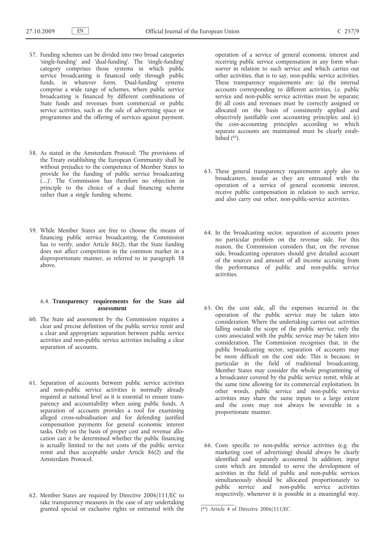- 57. Funding schemes can be divided into two broad categories 'single-funding' and 'dual-funding'. The 'single-funding' category comprises those systems in which public service broadcasting is financed only through public funds, in whatever form. 'Dual-funding' systems comprise a wide range of schemes, where public service broadcasting is financed by different combinations of State funds and revenues from commercial or public service activities, such as the sale of advertising space or programmes and the offering of services against payment.
- 58. As stated in the Amsterdam Protocol: 'The provisions of the Treaty establishing the European Community shall be without prejudice to the competence of Member States to provide for the funding of public service broadcasting (…)'. The Commission has therefore no objection in principle to the choice of a dual financing scheme rather than a single funding scheme.
- 59. While Member States are free to choose the means of financing public service broadcasting, the Commission has to verify, under Article 86(2), that the State funding does not affect competition in the common market in a disproportionate manner, as referred to in paragraph 38 above.

#### 6.4. **Transparency requirements for the State aid assessment**

- 60. The State aid assessment by the Commission requires a clear and precise definition of the public service remit and a clear and appropriate separation between public service activities and non-public service activities including a clear separation of accounts.
- 61. Separation of accounts between public service activities and non-public service activities is normally already required at national level as it is essential to ensure transparency and accountability when using public funds. A separation of accounts provides a tool for examining alleged cross-subsidisation and for defending justified compensation payments for general economic interest tasks. Only on the basis of proper cost and revenue allocation can it be determined whether the public financing is actually limited to the net costs of the public service remit and thus acceptable under Article 86(2) and the Amsterdam Protocol.
- 62. Member States are required by Directive 2006/111/EC to take transparency measures in the case of any undertaking granted special or exclusive rights or entrusted with the

operation of a service of general economic interest and receiving public service compensation in any form whatsoever in relation to such service and which carries out other activities, that is to say, non-public service activities. These transparency requirements are: (a) the internal accounts corresponding to different activities, i.e. public service and non-public service activities must be separate; (b) all costs and revenues must be correctly assigned or allocated on the basis of consistently applied and objectively justifiable cost accounting principles; and (c) the cost-accounting principles according to which separate accounts are maintained must be clearly established  $(45)$ .

- 63. These general transparency requirements apply also to broadcasters, insofar as they are entrusted with the operation of a service of general economic interest, receive public compensation in relation to such service, and also carry out other, non-public-service activities.
- 64. In the broadcasting sector, separation of accounts poses no particular problem on the revenue side. For this reason, the Commission considers that, on the revenue side, broadcasting operators should give detailed account of the sources and amount of all income accruing from the performance of public and non-public service activities.
- 65. On the cost side, all the expenses incurred in the operation of the public service may be taken into consideration. Where the undertaking carries out activities falling outside the scope of the public service, only the costs associated with the public service may be taken into consideration. The Commission recognises that, in the public broadcasting sector, separation of accounts may be more difficult on the cost side. This is because, in particular in the field of traditional broadcasting, Member States may consider the whole programming of a broadcaster covered by the public service remit, while at the same time allowing for its commercial exploitation. In other words, public service and non-public service activities may share the same inputs to a large extent and the costs may not always be severable in a proportionate manner.
- 66. Costs specific to non-public service activities (e.g. the marketing cost of advertising) should always be clearly identified and separately accounted. In addition, input costs which are intended to serve the development of activities in the field of public and non-public services simultaneously should be allocated proportionately to public service and non-public service activities respectively, whenever it is possible in a meaningful way.

<sup>(</sup> 45) Article 4 of Directive 2006/111/EC.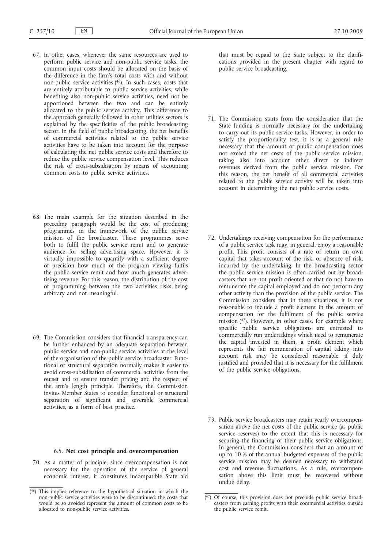- 67. In other cases, whenever the same resources are used to perform public service and non-public service tasks, the common input costs should be allocated on the basis of the difference in the firm's total costs with and without non-public service activities (46). In such cases, costs that are entirely attributable to public service activities, while benefiting also non-public service activities, need not be apportioned between the two and can be entirely allocated to the public service activity. This difference to the approach generally followed in other utilities sectors is explained by the specificities of the public broadcasting sector. In the field of public broadcasting, the net benefits of commercial activities related to the public service activities have to be taken into account for the purpose of calculating the net public service costs and therefore to reduce the public service compensation level. This reduces the risk of cross-subsidisation by means of accounting common costs to public service activities.
- 68. The main example for the situation described in the preceding paragraph would be the cost of producing programmes in the framework of the public service mission of the broadcaster. These programmes serve both to fulfil the public service remit and to generate audience for selling advertising space. However, it is virtually impossible to quantify with a sufficient degree of precision how much of the program viewing fulfils the public service remit and how much generates advertising revenue. For this reason, the distribution of the cost of programming between the two activities risks being arbitrary and not meaningful.
- 69. The Commission considers that financial transparency can be further enhanced by an adequate separation between public service and non-public service activities at the level of the organisation of the public service broadcaster. Functional or structural separation normally makes it easier to avoid cross-subsidisation of commercial activities from the outset and to ensure transfer pricing and the respect of the arm's length principle. Therefore, the Commission invites Member States to consider functional or structural separation of significant and severable commercial activities, as a form of best practice.

### 6.5. **Net cost principle and overcompensation**

70. As a matter of principle, since overcompensation is not necessary for the operation of the service of general economic interest, it constitutes incompatible State aid that must be repaid to the State subject to the clarifications provided in the present chapter with regard to public service broadcasting.

- 71. The Commission starts from the consideration that the State funding is normally necessary for the undertaking to carry out its public service tasks. However, in order to satisfy the proportionality test, it is as a general rule necessary that the amount of public compensation does not exceed the net costs of the public service mission, taking also into account other direct or indirect revenues derived from the public service mission. For this reason, the net benefit of all commercial activities related to the public service activity will be taken into account in determining the net public service costs.
- 72. Undertakings receiving compensation for the performance of a public service task may, in general, enjoy a reasonable profit. This profit consists of a rate of return on own capital that takes account of the risk, or absence of risk, incurred by the undertaking. In the broadcasting sector the public service mission is often carried out by broadcasters that are not profit oriented or that do not have to remunerate the capital employed and do not perform any other activity than the provision of the public service. The Commission considers that in these situations, it is not reasonable to include a profit element in the amount of compensation for the fulfilment of the public service mission  $(47)$ . However, in other cases, for example where specific public service obligations are entrusted to commercially run undertakings which need to remunerate the capital invested in them, a profit element which represents the fair remuneration of capital taking into account risk may be considered reasonable, if duly justified and provided that it is necessary for the fulfilment of the public service obligations.
- 73. Public service broadcasters may retain yearly overcompensation above the net costs of the public service (as public service reserves) to the extent that this is necessary for securing the financing of their public service obligations. In general, the Commission considers that an amount of up to 10 % of the annual budgeted expenses of the public service mission may be deemed necessary to withstand cost and revenue fluctuations. As a rule, overcompensation above this limit must be recovered without undue delay.

<sup>(</sup> 46) This implies reference to the hypothetical situation in which the non-public service activities were to be discontinued: the costs that would be so avoided represent the amount of common costs to be allocated to non-public service activities.

<sup>(</sup> 47) Of course, this provision does not preclude public service broadcasters from earning profits with their commercial activities outside the public service remit.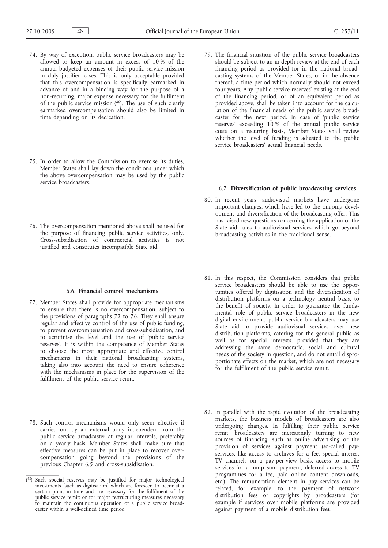- 74. By way of exception, public service broadcasters may be allowed to keep an amount in excess of 10 % of the annual budgeted expenses of their public service mission in duly justified cases. This is only acceptable provided that this overcompensation is specifically earmarked in advance of and in a binding way for the purpose of a non-recurring, major expense necessary for the fulfilment of the public service mission (48). The use of such clearly earmarked overcompensation should also be limited in time depending on its dedication.
- 75. In order to allow the Commission to exercise its duties, Member States shall lay down the conditions under which the above overcompensation may be used by the public service broadcasters.
- 76. The overcompensation mentioned above shall be used for the purpose of financing public service activities, only. Cross-subsidisation of commercial activities is not justified and constitutes incompatible State aid.

#### 6.6. **Financial control mechanisms**

- 77. Member States shall provide for appropriate mechanisms to ensure that there is no overcompensation, subject to the provisions of paragraphs 72 to  $76$ . They shall ensure regular and effective control of the use of public funding, to prevent overcompensation and cross-subsidisation, and to scrutinise the level and the use of 'public service reserves'. It is within the competence of Member States to choose the most appropriate and effective control mechanisms in their national broadcasting systems, taking also into account the need to ensure coherence with the mechanisms in place for the supervision of the fulfilment of the public service remit.
- 78. Such control mechanisms would only seem effective if carried out by an external body independent from the public service broadcaster at regular intervals, preferably on a yearly basis. Member States shall make sure that effective measures can be put in place to recover overcompensation going beyond the provisions of the previous Chapter 6.5 and cross-subsidisation.

79. The financial situation of the public service broadcasters should be subject to an in-depth review at the end of each financing period as provided for in the national broadcasting systems of the Member States, or in the absence thereof, a time period which normally should not exceed four years. Any 'public service reserves' existing at the end of the financing period, or of an equivalent period as provided above, shall be taken into account for the calculation of the financial needs of the public service broadcaster for the next period. In case of 'public service reserves' exceeding 10 % of the annual public service costs on a recurring basis, Member States shall review whether the level of funding is adjusted to the public service broadcasters' actual financial needs.

## 6.7. **Diversification of public broadcasting services**

- 80. In recent years, audiovisual markets have undergone important changes, which have led to the ongoing development and diversification of the broadcasting offer. This has raised new questions concerning the application of the State aid rules to audiovisual services which go beyond broadcasting activities in the traditional sense.
- 81. In this respect, the Commission considers that public service broadcasters should be able to use the opportunities offered by digitisation and the diversification of distribution platforms on a technology neutral basis, to the benefit of society. In order to guarantee the fundamental role of public service broadcasters in the new digital environment, public service broadcasters may use State aid to provide audiovisual services over new distribution platforms, catering for the general public as well as for special interests, provided that they are addressing the same democratic, social and cultural needs of the society in question, and do not entail disproportionate effects on the market, which are not necessary for the fulfilment of the public service remit.
- 82. In parallel with the rapid evolution of the broadcasting markets, the business models of broadcasters are also undergoing changes. In fulfilling their public service remit, broadcasters are increasingly turning to new sources of financing, such as online advertising or the provision of services against payment (so-called payservices, like access to archives for a fee, special interest TV channels on a pay-per-view basis, access to mobile services for a lump sum payment, deferred access to TV programmes for a fee, paid online content downloads, etc.). The remuneration element in pay services can be related, for example, to the payment of network distribution fees or copyrights by broadcasters (for example if services over mobile platforms are provided against payment of a mobile distribution fee).

<sup>(</sup> 48) Such special reserves may be justified for major technological investments (such as digitisation) which are foreseen to occur at a certain point in time and are necessary for the fulfilment of the public service remit; or for major restructuring measures necessary to maintain the continuous operation of a public service broadcaster within a well-defined time period.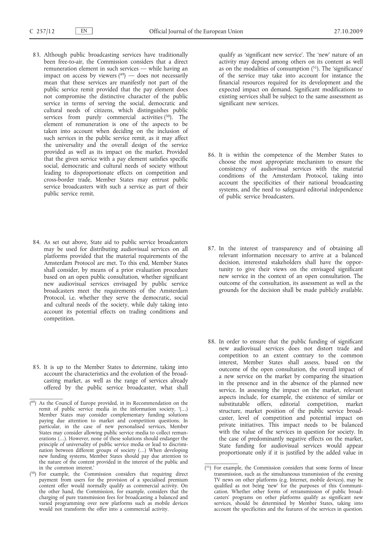- 83. Although public broadcasting services have traditionally been free-to-air, the Commission considers that a direct remuneration element in such services — while having an impact on access by viewers  $(49)$  — does not necessarily mean that these services are manifestly not part of the public service remit provided that the pay element does not compromise the distinctive character of the public service in terms of serving the social, democratic and cultural needs of citizens, which distinguishes public services from purely commercial activities  $(50)$ . The element of remuneration is one of the aspects to be taken into account when deciding on the inclusion of such services in the public service remit, as it may affect the universality and the overall design of the service provided as well as its impact on the market. Provided that the given service with a pay element satisfies specific social, democratic and cultural needs of society without leading to disproportionate effects on competition and cross-border trade, Member States may entrust public service broadcasters with such a service as part of their public service remit.
- 84. As set out above, State aid to public service broadcasters may be used for distributing audiovisual services on all platforms provided that the material requirements of the Amsterdam Protocol are met. To this end, Member States shall consider, by means of a prior evaluation procedure based on an open public consultation, whether significant new audiovisual services envisaged by public service broadcasters meet the requirements of the Amsterdam Protocol, i.e. whether they serve the democratic, social and cultural needs of the society, while duly taking into account its potential effects on trading conditions and competition.
- 85. It is up to the Member States to determine, taking into account the characteristics and the evolution of the broadcasting market, as well as the range of services already offered by the public service broadcaster, what shall
- ( 49) As the Council of Europe provided, in its Recommendation on the remit of public service media in the information society, '(…) Member States may consider complementary funding solutions paying due attention to market and competition questions. In particular, in the case of new personalised services, Member States may consider allowing public service media to collect remunerations (…). However, none of these solutions should endanger the principle of universality of public service media or lead to discrimination between different groups of society (…) When developing new funding systems, Member States should pay due attention to the nature of the content provided in the interest of the public and in the common interest.'
- (<sup>50</sup>) For example, the Commission considers that requiring direct payment from users for the provision of a specialised premium content offer would normally qualify as commercial activity. On the other hand, the Commission, for example, considers that the charging of pure transmission fees for broadcasting a balanced and varied programming over new platforms such as mobile devices would not transform the offer into a commercial activity.

qualify as 'significant new service'. The 'new' nature of an activity may depend among others on its content as well as on the modalities of consumption (51). The 'significance' of the service may take into account for instance the financial resources required for its development and the expected impact on demand. Significant modifications to existing services shall be subject to the same assessment as significant new services.

- 86. It is within the competence of the Member States to choose the most appropriate mechanism to ensure the consistency of audiovisual services with the material conditions of the Amsterdam Protocol, taking into account the specificities of their national broadcasting systems, and the need to safeguard editorial independence of public service broadcasters.
- 87. In the interest of transparency and of obtaining all relevant information necessary to arrive at a balanced decision, interested stakeholders shall have the opportunity to give their views on the envisaged significant new service in the context of an open consultation. The outcome of the consultation, its assessment as well as the grounds for the decision shall be made publicly available.
- 88. In order to ensure that the public funding of significant new audiovisual services does not distort trade and competition to an extent contrary to the common interest, Member States shall assess, based on the outcome of the open consultation, the overall impact of a new service on the market by comparing the situation in the presence and in the absence of the planned new service. In assessing the impact on the market, relevant aspects include, for example, the existence of similar or substitutable offers, editorial competition, market structure, market position of the public service broadcaster, level of competition and potential impact on private initiatives. This impact needs to be balanced with the value of the services in question for society. In the case of predominantly negative effects on the market, State funding for audiovisual services would appear proportionate only if it is justified by the added value in

<sup>(</sup> 51) For example, the Commission considers that some forms of linear transmission, such as the simultaneous transmission of the evening TV news on other platforms (e.g. Internet, mobile devices), may be qualified as not being 'new' for the purposes of this Communication. Whether other forms of retransmission of public broadcasters' programs on other platforms qualify as significant new services, should be determined by Member States, taking into account the specificities and the features of the services in question.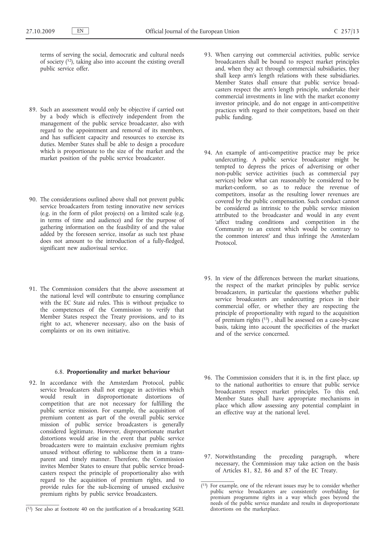terms of serving the social, democratic and cultural needs of society (52), taking also into account the existing overall public service offer.

- 89. Such an assessment would only be objective if carried out by a body which is effectively independent from the management of the public service broadcaster, also with regard to the appointment and removal of its members, and has sufficient capacity and resources to exercise its duties. Member States shall be able to design a procedure which is proportionate to the size of the market and the market position of the public service broadcaster.
- 90. The considerations outlined above shall not prevent public service broadcasters from testing innovative new services (e.g. in the form of pilot projects) on a limited scale (e.g. in terms of time and audience) and for the purpose of gathering information on the feasibility of and the value added by the foreseen service, insofar as such test phase does not amount to the introduction of a fully-fledged, significant new audiovisual service.
- 91. The Commission considers that the above assessment at the national level will contribute to ensuring compliance with the EC State aid rules. This is without prejudice to the competences of the Commission to verify that Member States respect the Treaty provisions, and to its right to act, whenever necessary, also on the basis of complaints or on its own initiative.

#### 6.8. **Proportionality and market behaviour**

92. In accordance with the Amsterdam Protocol, public service broadcasters shall not engage in activities which would result in disproportionate distortions of competition that are not necessary for fulfilling the public service mission. For example, the acquisition of premium content as part of the overall public service mission of public service broadcasters is generally considered legitimate. However, disproportionate market distortions would arise in the event that public service broadcasters were to maintain exclusive premium rights unused without offering to sublicense them in a transparent and timely manner. Therefore, the Commission invites Member States to ensure that public service broadcasters respect the principle of proportionality also with regard to the acquisition of premium rights, and to provide rules for the sub-licensing of unused exclusive premium rights by public service broadcasters.

- 93. When carrying out commercial activities, public service broadcasters shall be bound to respect market principles and, when they act through commercial subsidiaries, they shall keep arm's length relations with these subsidiaries. Member States shall ensure that public service broadcasters respect the arm's length principle, undertake their commercial investments in line with the market economy investor principle, and do not engage in anti-competitive practices with regard to their competitors, based on their public funding.
- 94. An example of anti-competitive practice may be price undercutting. A public service broadcaster might be tempted to depress the prices of advertising or other non-public service activities (such as commercial pay services) below what can reasonably be considered to be market-conform, so as to reduce the revenue of competitors, insofar as the resulting lower revenues are covered by the public compensation. Such conduct cannot be considered as intrinsic to the public service mission attributed to the broadcaster and would in any event 'affect trading conditions and competition in the Community to an extent which would be contrary to the common interest' and thus infringe the Amsterdam Protocol.
- 95. In view of the differences between the market situations, the respect of the market principles by public service broadcasters, in particular the questions whether public service broadcasters are undercutting prices in their commercial offer, or whether they are respecting the principle of proportionality with regard to the acquisition of premium rights  $(53)$ , shall be assessed on a case-by-case basis, taking into account the specificities of the market and of the service concerned.
- 96. The Commission considers that it is, in the first place, up to the national authorities to ensure that public service broadcasters respect market principles. To this end, Member States shall have appropriate mechanisms in place which allow assessing any potential complaint in an effective way at the national level.
- 97. Notwithstanding the preceding paragraph, where necessary, the Commission may take action on the basis of Articles 81, 82, 86 and 87 of the EC Treaty.

 $(52)$  See also at footnote 40 on the justification of a broadcasting SGEI.

<sup>(</sup> 53) For example, one of the relevant issues may be to consider whether public service broadcasters are consistently overbidding for premium programme rights in a way which goes beyond the needs of the public service mandate and results in disproportionate distortions on the marketplace.